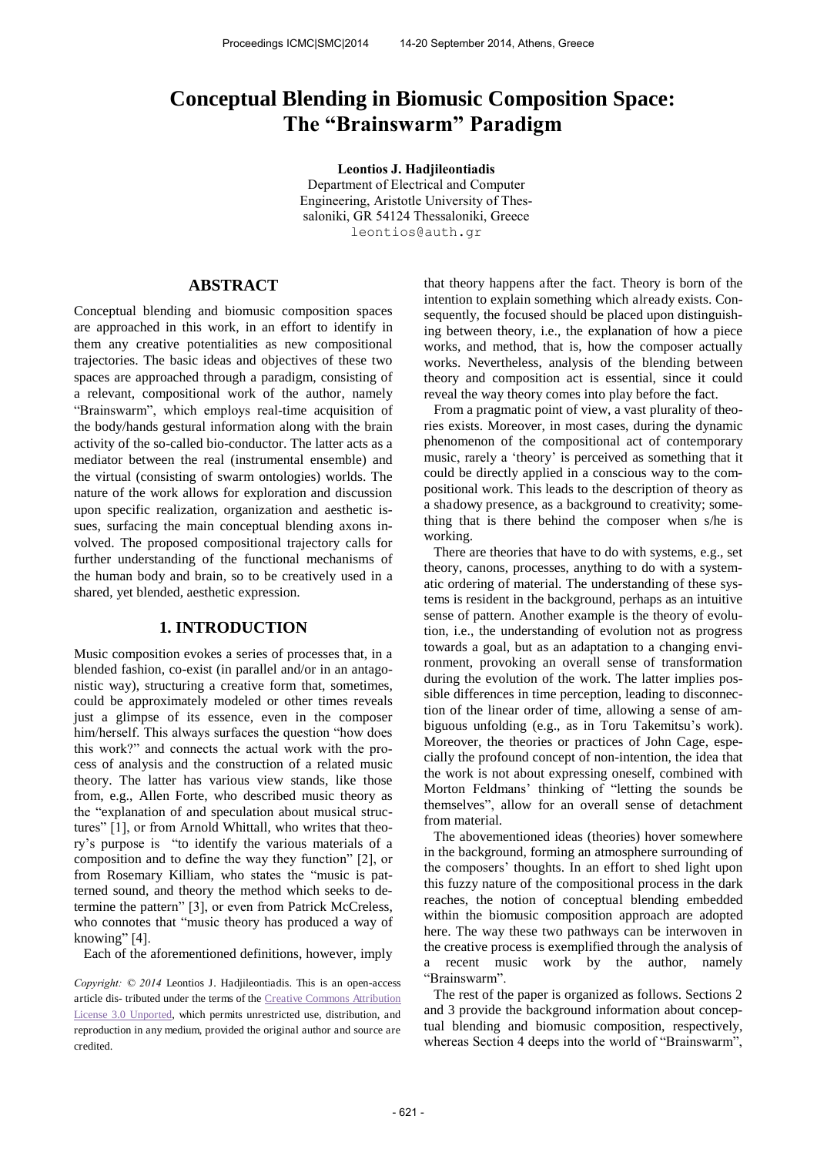# **Conceptual Blending in Biomusic Composition Space: The "Brainswarm" Paradigm**

**Leontios J. Hadjileontiadis**  Department of Electrical and Computer Engineering, Aristotle University of Thessaloniki, GR 54124 Thessaloniki, Greece [leontios@a](mailto:leontios@smcnetwork.org)uth.gr

# **ABSTRACT**

Conceptual blending and biomusic composition spaces are approached in this work, in an effort to identify in them any creative potentialities as new compositional trajectories. The basic ideas and objectives of these two spaces are approached through a paradigm, consisting of a relevant, compositional work of the author, namely "Brainswarm", which employs real-time acquisition of the body/hands gestural information along with the brain activity of the so-called bio-conductor. The latter acts as a mediator between the real (instrumental ensemble) and the virtual (consisting of swarm ontologies) worlds. The nature of the work allows for exploration and discussion upon specific realization, organization and aesthetic issues, surfacing the main conceptual blending axons involved. The proposed compositional trajectory calls for further understanding of the functional mechanisms of the human body and brain, so to be creatively used in a shared, yet blended, aesthetic expression.

# **1. INTRODUCTION**

Music composition evokes a series of processes that, in a blended fashion, co-exist (in parallel and/or in an antagonistic way), structuring a creative form that, sometimes, could be approximately modeled or other times reveals just a glimpse of its essence, even in the composer him/herself. This always surfaces the question "how does" this work?" and connects the actual work with the process of analysis and the construction of a related music theory. The latter has various view stands, like those from, e.g., Allen Forte, who described music theory as the "explanation of and speculation about musical structures" [1], or from Arnold Whittall, who writes that theory's purpose is "to identify the various materials of a composition and to define the way they function" [2], or from Rosemary Killiam, who states the "music is patterned sound, and theory the method which seeks to determine the pattern" [3], or even from Patrick McCreless, who connotes that "music theory has produced a way of knowing" [4].

Each of the aforementioned definitions, however, imply

*Copyright: © 2014* Leontios J. Hadjileontiadis. This is an open-access article dis- tributed under the terms of the [Creative Commons Attribution](http://creativecommons.org/licenses/by/3.0/)  [License 3.0 Unported,](http://creativecommons.org/licenses/by/3.0/) which permits unrestricted use, distribution, and reproduction in any medium, provided the original author and source are credited.

that theory happens after the fact. Theory is born of the intention to explain something which already exists. Consequently, the focused should be placed upon distinguishing between theory, i.e., the explanation of how a piece works, and method, that is, how the composer actually works. Nevertheless, analysis of the blending between theory and composition act is essential, since it could reveal the way theory comes into play before the fact.

From a pragmatic point of view, a vast plurality of theories exists. Moreover, in most cases, during the dynamic phenomenon of the compositional act of contemporary music, rarely a 'theory' is perceived as something that it could be directly applied in a conscious way to the compositional work. This leads to the description of theory as a shadowy presence, as a background to creativity; something that is there behind the composer when s/he is working.

There are theories that have to do with systems, e.g., set theory, canons, processes, anything to do with a systematic ordering of material. The understanding of these systems is resident in the background, perhaps as an intuitive sense of pattern. Another example is the theory of evolution, i.e., the understanding of evolution not as progress towards a goal, but as an adaptation to a changing environment, provoking an overall sense of transformation during the evolution of the work. The latter implies possible differences in time perception, leading to disconnection of the linear order of time, allowing a sense of ambiguous unfolding (e.g., as in Toru Takemitsu's work). Moreover, the theories or practices of John Cage, especially the profound concept of non-intention, the idea that the work is not about expressing oneself, combined with Morton Feldmans' thinking of "letting the sounds be themselves", allow for an overall sense of detachment from material.

The abovementioned ideas (theories) hover somewhere in the background, forming an atmosphere surrounding of the composers' thoughts. In an effort to shed light upon this fuzzy nature of the compositional process in the dark reaches, the notion of conceptual blending embedded within the biomusic composition approach are adopted here. The way these two pathways can be interwoven in the creative process is exemplified through the analysis of a recent music work by the author, namely "Brainswarm".

The rest of the paper is organized as follows. Sections 2 and 3 provide the background information about conceptual blending and biomusic composition, respectively, whereas Section 4 deeps into the world of "Brainswarm",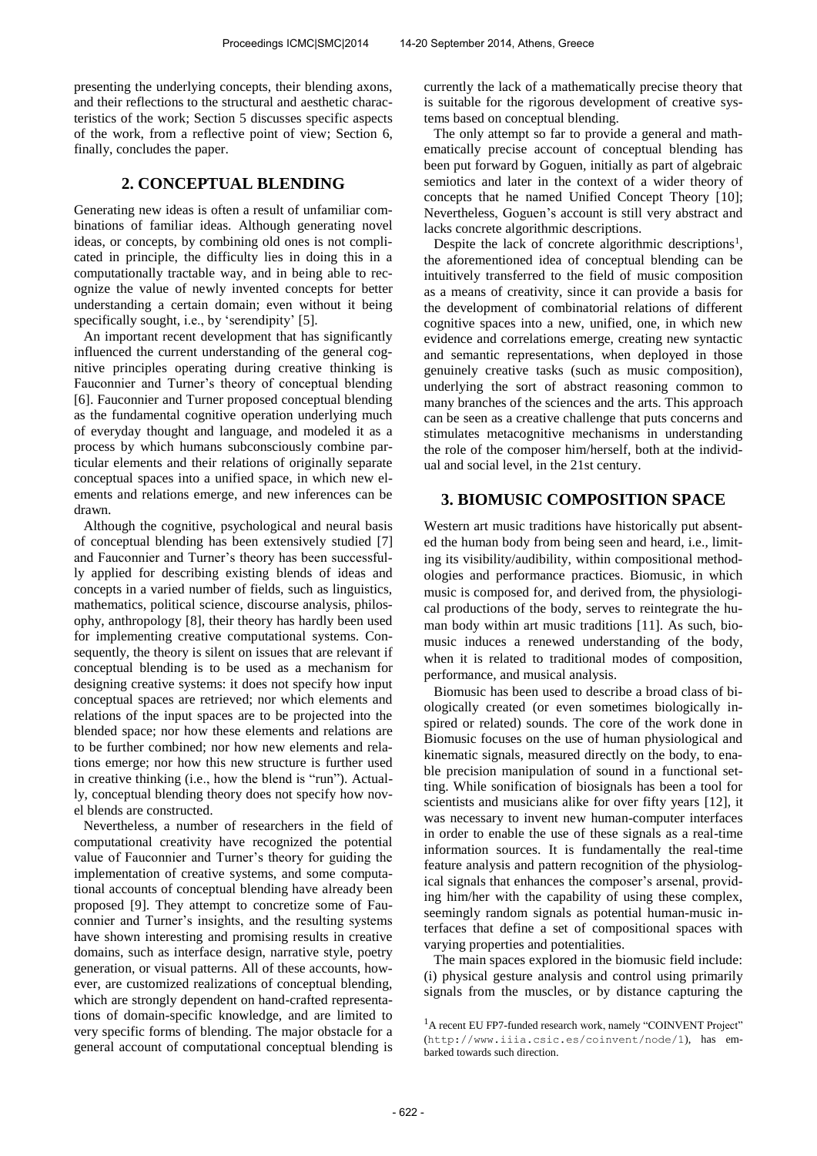presenting the underlying concepts, their blending axons, and their reflections to the structural and aesthetic characteristics of the work; Section 5 discusses specific aspects of the work, from a reflective point of view; Section 6, finally, concludes the paper.

# **2. CONCEPTUAL BLENDING**

Generating new ideas is often a result of unfamiliar combinations of familiar ideas. Although generating novel ideas, or concepts, by combining old ones is not complicated in principle, the difficulty lies in doing this in a computationally tractable way, and in being able to recognize the value of newly invented concepts for better understanding a certain domain; even without it being specifically sought, i.e., by 'serendipity' [5].

An important recent development that has significantly influenced the current understanding of the general cognitive principles operating during creative thinking is Fauconnier and Turner's theory of conceptual blending [6]. Fauconnier and Turner proposed conceptual blending as the fundamental cognitive operation underlying much of everyday thought and language, and modeled it as a process by which humans subconsciously combine particular elements and their relations of originally separate conceptual spaces into a unified space, in which new elements and relations emerge, and new inferences can be drawn.

Although the cognitive, psychological and neural basis of conceptual blending has been extensively studied [7] and Fauconnier and Turner's theory has been successfully applied for describing existing blends of ideas and concepts in a varied number of fields, such as linguistics, mathematics, political science, discourse analysis, philosophy, anthropology [8], their theory has hardly been used for implementing creative computational systems. Consequently, the theory is silent on issues that are relevant if conceptual blending is to be used as a mechanism for designing creative systems: it does not specify how input conceptual spaces are retrieved; nor which elements and relations of the input spaces are to be projected into the blended space; nor how these elements and relations are to be further combined; nor how new elements and relations emerge; nor how this new structure is further used in creative thinking (i.e., how the blend is "run"). Actually, conceptual blending theory does not specify how novel blends are constructed.

Nevertheless, a number of researchers in the field of computational creativity have recognized the potential value of Fauconnier and Turner's theory for guiding the implementation of creative systems, and some computational accounts of conceptual blending have already been proposed [9]. They attempt to concretize some of Fauconnier and Turner's insights, and the resulting systems have shown interesting and promising results in creative domains, such as interface design, narrative style, poetry generation, or visual patterns. All of these accounts, however, are customized realizations of conceptual blending, which are strongly dependent on hand-crafted representations of domain-specific knowledge, and are limited to very specific forms of blending. The major obstacle for a general account of computational conceptual blending is

currently the lack of a mathematically precise theory that is suitable for the rigorous development of creative systems based on conceptual blending.

The only attempt so far to provide a general and mathematically precise account of conceptual blending has been put forward by Goguen, initially as part of algebraic semiotics and later in the context of a wider theory of concepts that he named Unified Concept Theory [10]; Nevertheless, Goguen's account is still very abstract and lacks concrete algorithmic descriptions.

Despite the lack of concrete algorithmic descriptions<sup>1</sup>, the aforementioned idea of conceptual blending can be intuitively transferred to the field of music composition as a means of creativity, since it can provide a basis for the development of combinatorial relations of different cognitive spaces into a new, unified, one, in which new evidence and correlations emerge, creating new syntactic and semantic representations, when deployed in those genuinely creative tasks (such as music composition), underlying the sort of abstract reasoning common to many branches of the sciences and the arts. This approach can be seen as a creative challenge that puts concerns and stimulates metacognitive mechanisms in understanding the role of the composer him/herself, both at the individual and social level, in the 21st century.

# **3. BIOMUSIC COMPOSITION SPACE**

Western art music traditions have historically put absented the human body from being seen and heard, i.e., limiting its visibility/audibility, within compositional methodologies and performance practices. Biomusic, in which music is composed for, and derived from, the physiological productions of the body, serves to reintegrate the human body within art music traditions [11]. As such, biomusic induces a renewed understanding of the body, when it is related to traditional modes of composition, performance, and musical analysis.

Biomusic has been used to describe a broad class of biologically created (or even sometimes biologically inspired or related) sounds. The core of the work done in Biomusic focuses on the use of human physiological and kinematic signals, measured directly on the body, to enable precision manipulation of sound in a functional setting. While sonification of biosignals has been a tool for scientists and musicians alike for over fifty years [12], it was necessary to invent new human-computer interfaces in order to enable the use of these signals as a real-time information sources. It is fundamentally the real-time feature analysis and pattern recognition of the physiological signals that enhances the composer's arsenal, providing him/her with the capability of using these complex, seemingly random signals as potential human-music interfaces that define a set of compositional spaces with varying properties and potentialities.

The main spaces explored in the biomusic field include: (i) physical gesture analysis and control using primarily signals from the muscles, or by distance capturing the

<sup>&</sup>lt;sup>1</sup>A recent EU FP7-funded research work, namely "COINVENT Project" (<http://www.iiia.csic.es/coinvent/node/1>), has embarked towards such direction.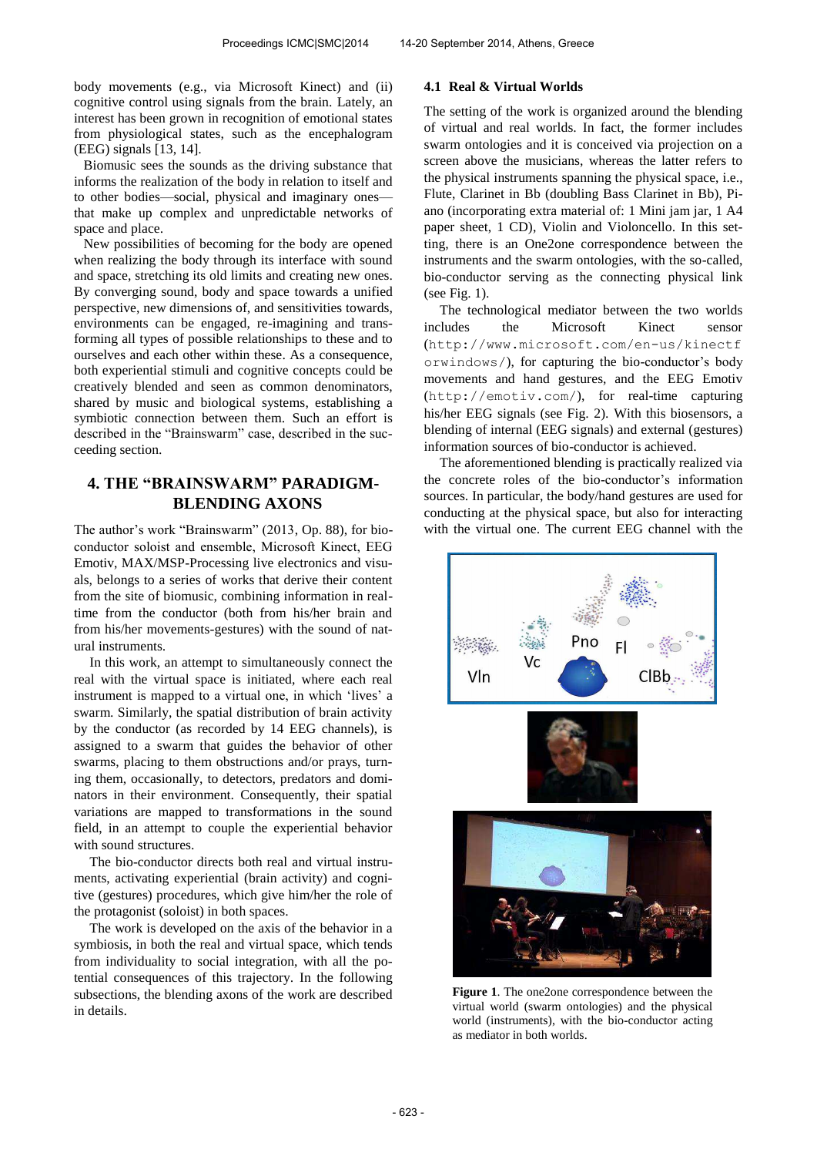body movements (e.g., via Microsoft Kinect) and (ii) cognitive control using signals from the brain. Lately, an interest has been grown in recognition of emotional states from physiological states, such as the encephalogram (EEG) signals [13, 14].

Biomusic sees the sounds as the driving substance that informs the realization of the body in relation to itself and to other bodies—social, physical and imaginary ones that make up complex and unpredictable networks of space and place.

New possibilities of becoming for the body are opened when realizing the body through its interface with sound and space, stretching its old limits and creating new ones. By converging sound, body and space towards a unified perspective, new dimensions of, and sensitivities towards, environments can be engaged, re-imagining and transforming all types of possible relationships to these and to ourselves and each other within these. As a consequence, both experiential stimuli and cognitive concepts could be creatively blended and seen as common denominators, shared by music and biological systems, establishing a symbiotic connection between them. Such an effort is described in the "Brainswarm" case, described in the succeeding section.

# **4. THE "BRAINSWARM" PARADIGM-BLENDING AXONS**

The author's work "Brainswarm" (2013, Op. 88), for bioconductor soloist and ensemble, Microsoft Kinect, ΕEG Emotiv, MAX/MSP-Processing live electronics and visuals, belongs to a series of works that derive their content from the site of biomusic, combining information in realtime from the conductor (both from his/her brain and from his/her movements-gestures) with the sound of natural instruments.

In this work, an attempt to simultaneously connect the real with the virtual space is initiated, where each real instrument is mapped to a virtual one, in which 'lives' a swarm. Similarly, the spatial distribution of brain activity by the conductor (as recorded by 14 EEG channels), is assigned to a swarm that guides the behavior of other swarms, placing to them obstructions and/or prays, turning them, occasionally, to detectors, predators and dominators in their environment. Consequently, their spatial variations are mapped to transformations in the sound field, in an attempt to couple the experiential behavior with sound structures.

The bio-conductor directs both real and virtual instruments, activating experiential (brain activity) and cognitive (gestures) procedures, which give him/her the role of the protagonist (soloist) in both spaces.

The work is developed on the axis of the behavior in a symbiosis, in both the real and virtual space, which tends from individuality to social integration, with all the potential consequences of this trajectory. In the following subsections, the blending axons of the work are described in details.

## **4.1 Real & Virtual Worlds**

The setting of the work is organized around the blending of virtual and real worlds. In fact, the former includes swarm ontologies and it is conceived via projection on a screen above the musicians, whereas the latter refers to the physical instruments spanning the physical space, i.e., Flute, Clarinet in Bb (doubling Bass Clarinet in Bb), Piano (incorporating extra material of: 1 Mini jam jar, 1 A4 paper sheet, 1 CD), Violin and Violoncello. In this setting, there is an One2one correspondence between the instruments and the swarm ontologies, with the so-called, bio-conductor serving as the connecting physical link (see Fig. 1).

The technological mediator between the two worlds includes the Microsoft Kinect sensor (<http://www.microsoft.com/en-us/kinectf> orwindows/), for capturing the bio-conductor's body movements and hand gestures, and the EEG Emotiv (<http://emotiv.com/>), for real-time capturing his/her EEG signals (see Fig. 2). With this biosensors, a blending of internal (EEG signals) and external (gestures) information sources of bio-conductor is achieved.

The aforementioned blending is practically realized via the concrete roles of the bio-conductor's information sources. In particular, the body/hand gestures are used for conducting at the physical space, but also for interacting with the virtual one. The current EEG channel with the



**Figure 1**. The one2one correspondence between the virtual world (swarm ontologies) and the physical world (instruments), with the bio-conductor acting as mediator in both worlds.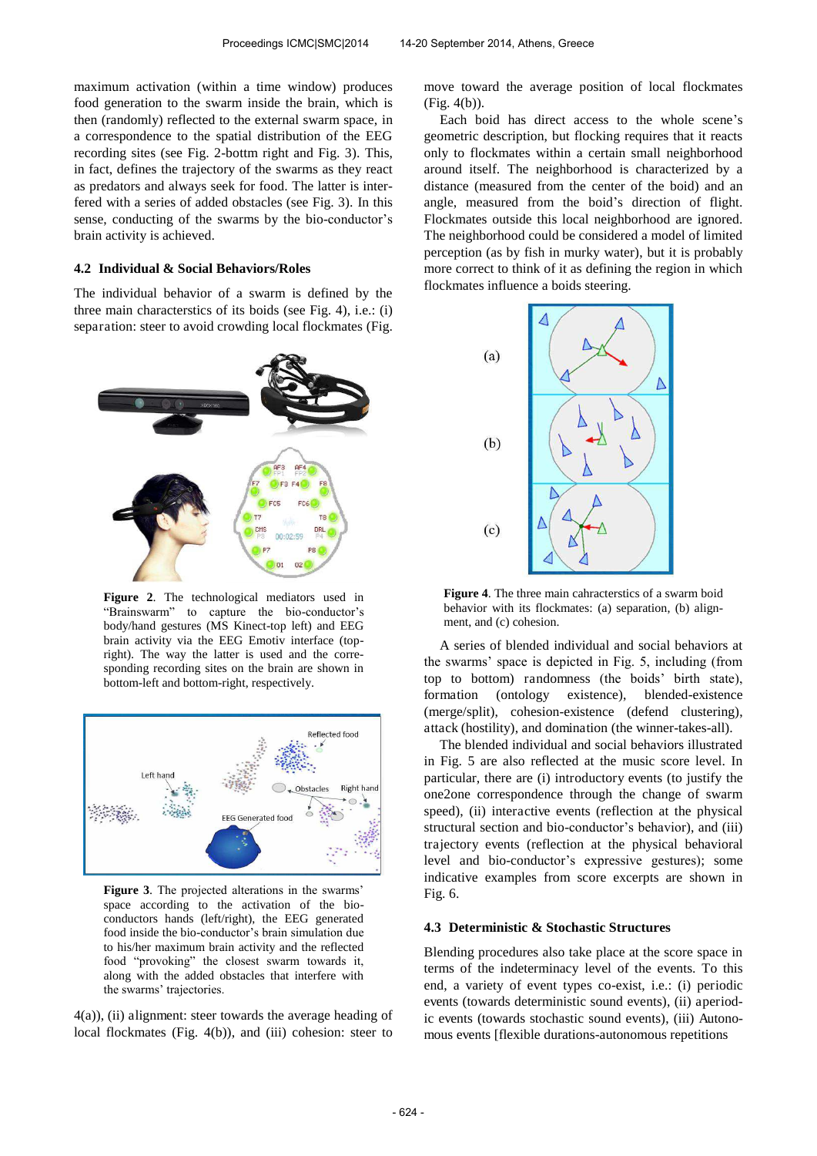maximum activation (within a time window) produces food generation to the swarm inside the brain, which is then (randomly) reflected to the external swarm space, in a correspondence to the spatial distribution of the EEG recording sites (see Fig. 2-bottm right and Fig. 3). This, in fact, defines the trajectory of the swarms as they react as predators and always seek for food. The latter is interfered with a series of added obstacles (see Fig. 3). In this sense, conducting of the swarms by the bio-conductor's brain activity is achieved.

### **4.2 Individual & Social Behaviors/Roles**

The individual behavior of a swarm is defined by the three main characterstics of its boids (see Fig. 4), i.e.: (i) separation: steer to avoid crowding local flockmates (Fig.



**Figure 2**. The technological mediators used in "Brainswarm" to capture the bio-conductor's body/hand gestures (MS Kinect-top left) and EEG brain activity via the EEG Emotiv interface (topright). The way the latter is used and the corresponding recording sites on the brain are shown in bottom-left and bottom-right, respectively.



**Figure 3**. The projected alterations in the swarms' space according to the activation of the bioconductors hands (left/right), the EEG generated food inside the bio-conductor's brain simulation due to his/her maximum brain activity and the reflected food "provoking" the closest swarm towards it, along with the added obstacles that interfere with the swarms' trajectories.

4(a)), (ii) alignment: steer towards the average heading of local flockmates (Fig. 4(b)), and (iii) cohesion: steer to move toward the average position of local flockmates (Fig. 4(b)).

Each boid has direct access to the whole scene's geometric description, but flocking requires that it reacts only to flockmates within a certain small neighborhood around itself. The neighborhood is characterized by a distance (measured from the center of the boid) and an angle, measured from the boid's direction of flight. Flockmates outside this local neighborhood are ignored. The neighborhood could be considered a model of limited perception (as by fish in murky water), but it is probably more correct to think of it as defining the region in which flockmates influence a boids steering.



**Figure 4**. The three main cahracterstics of a swarm boid behavior with its flockmates: (a) separation, (b) alignment, and (c) cohesion.

A series of blended individual and social behaviors at the swarms' space is depicted in Fig. 5, including (from top to bottom) randomness (the boids' birth state), formation (ontology existence), blended-existence (merge/split), cohesion-existence (defend clustering), attack (hostility), and domination (the winner-takes-all).

The blended individual and social behaviors illustrated in Fig. 5 are also reflected at the music score level. In particular, there are (i) introductory events (to justify the one2one correspondence through the change of swarm speed), (ii) interactive events (reflection at the physical structural section and bio-conductor's behavior), and (iii) trajectory events (reflection at the physical behavioral level and bio-conductor's expressive gestures); some indicative examples from score excerpts are shown in Fig. 6.

## **4.3 Deterministic & Stochastic Structures**

Blending procedures also take place at the score space in terms of the indeterminacy level of the events. To this end, a variety of event types co-exist, i.e.: (i) periodic events (towards deterministic sound events), (ii) aperiodic events (towards stochastic sound events), (iii) Autonomous events [flexible durations-autonomous repetitions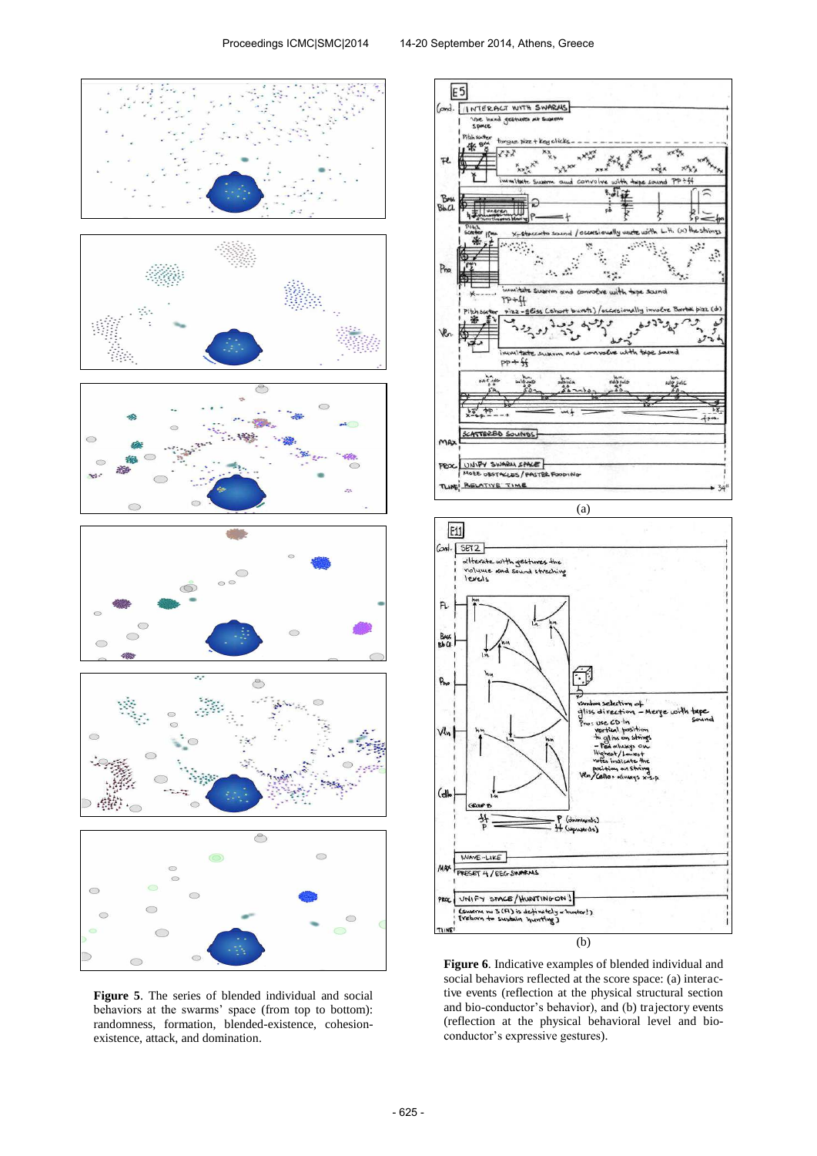

**Figure 5**. The series of blended individual and social behaviors at the swarms' space (from top to bottom): randomness, formation, blended-existence, cohesionexistence, attack, and domination.





**Figure 6**. Indicative examples of blended individual and social behaviors reflected at the score space: (a) interactive events (reflection at the physical structural section and bio-conductor's behavior), and (b) trajectory events (reflection at the physical behavioral level and bioconductor's expressive gestures).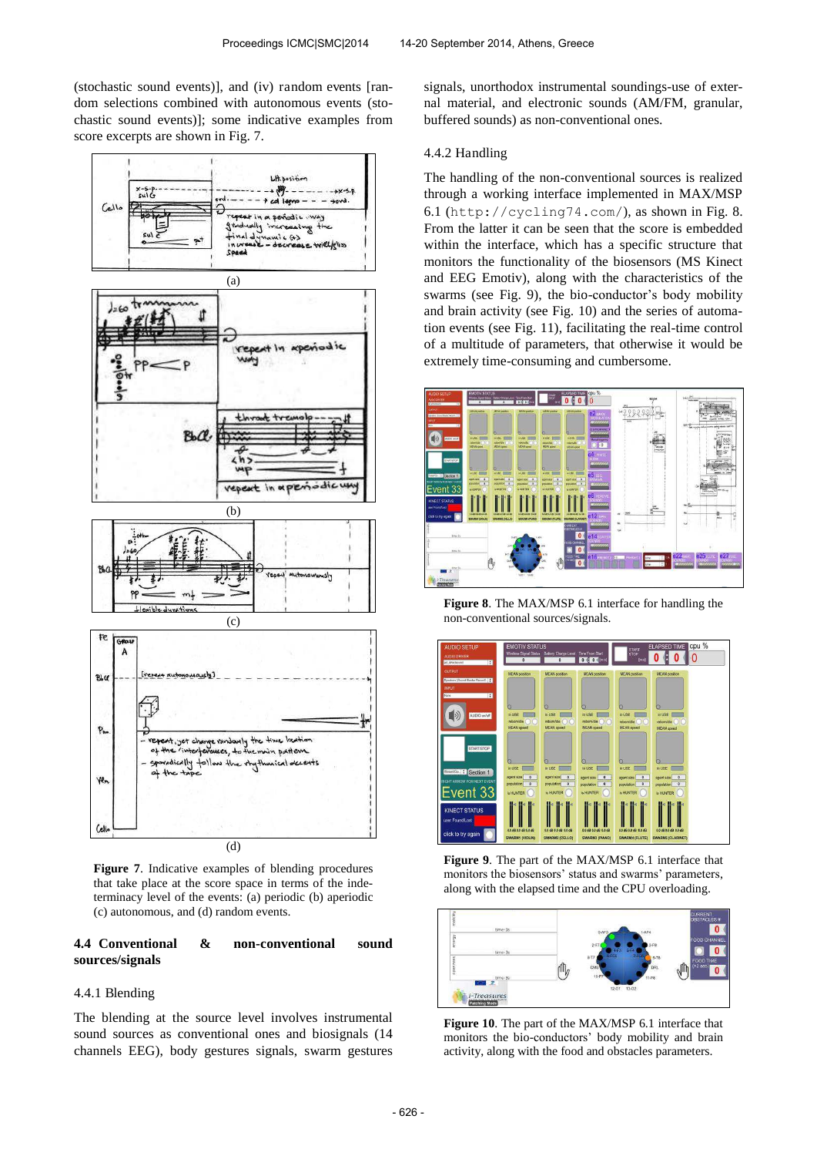(stochastic sound events)], and (iv) random events [random selections combined with autonomous events (stochastic sound events)]; some indicative examples from score excerpts are shown in Fig. 7.



**Figure 7**. Indicative examples of blending procedures that take place at the score space in terms of the indeterminacy level of the events: (a) periodic (b) aperiodic (c) autonomous, and (d) random events.

## **4.4 Conventional & non-conventional sound sources/signals**

#### 4.4.1 Blending

The blending at the source level involves instrumental sound sources as conventional ones and biosignals (14 channels EEG), body gestures signals, swarm gestures

signals, unorthodox instrumental soundings-use of external material, and electronic sounds (AM/FM, granular, buffered sounds) as non-conventional ones.

#### 4.4.2 Handling

The handling of the non-conventional sources is realized through a working interface implemented in MAX/MSP 6.1 (<http://cycling74.com/>), as shown in Fig. 8. From the latter it can be seen that the score is embedded within the interface, which has a specific structure that monitors the functionality of the biosensors (MS Kinect and EEG Emotiv), along with the characteristics of the swarms (see Fig. 9), the bio-conductor's body mobility and brain activity (see Fig. 10) and the series of automation events (see Fig. 11), facilitating the real-time control of a multitude of parameters, that otherwise it would be extremely time-consuming and cumbersome.



**Figure 8**. The MAX/MSP 6.1 interface for handling the non-conventional sources/signals.



**Figure 9**. The part of the MAX/MSP 6.1 interface that monitors the biosensors' status and swarms' parameters, along with the elapsed time and the CPU overloading.



**Figure 10**. The part of the MAX/MSP 6.1 interface that monitors the bio-conductors' body mobility and brain activity, along with the food and obstacles parameters.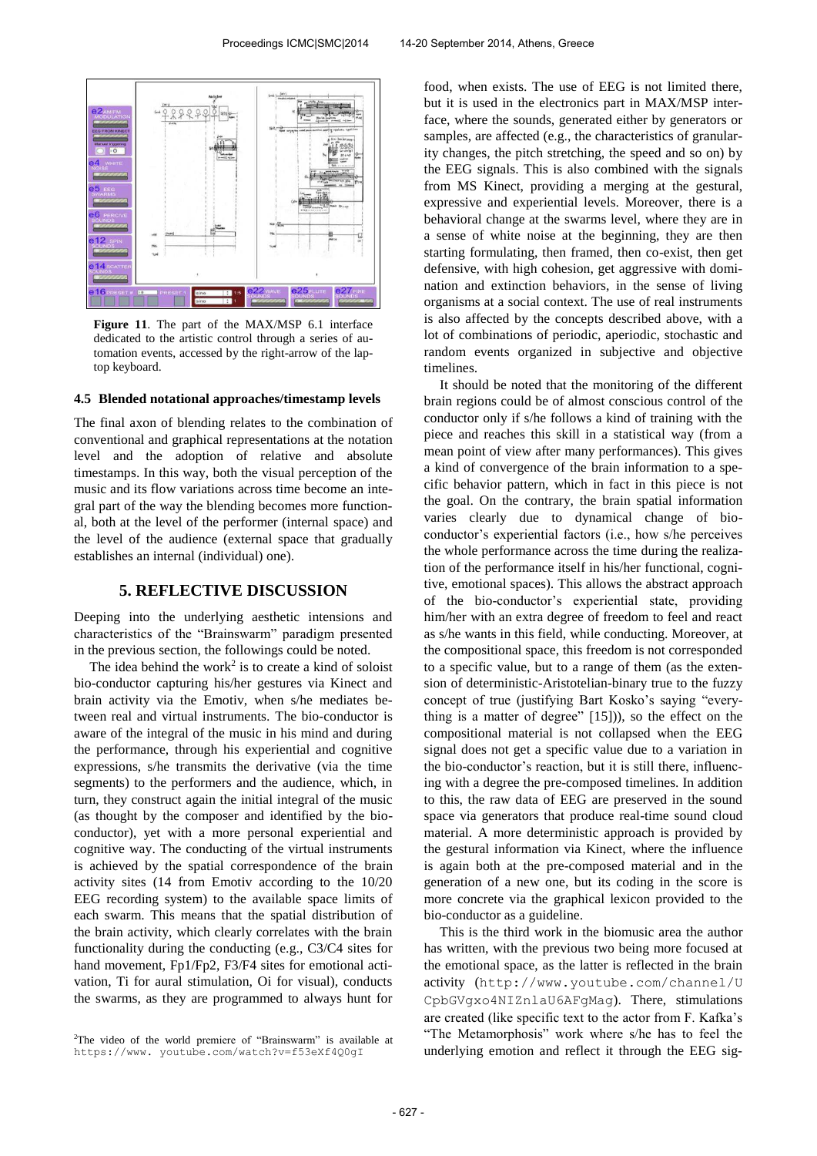

**Figure 11**. The part of the MAX/MSP 6.1 interface dedicated to the artistic control through a series of automation events, accessed by the right-arrow of the laptop keyboard.

### **4.5 Blended notational approaches/timestamp levels**

The final axon of blending relates to the combination of conventional and graphical representations at the notation level and the adoption of relative and absolute timestamps. In this way, both the visual perception of the music and its flow variations across time become an integral part of the way the blending becomes more functional, both at the level of the performer (internal space) and the level of the audience (external space that gradually establishes an internal (individual) one).

#### **5. REFLECTIVE DISCUSSION**

Deeping into the underlying aesthetic intensions and characteristics of the "Brainswarm" paradigm presented in the previous section, the followings could be noted.

The idea behind the work<sup>2</sup> is to create a kind of soloist bio-conductor capturing his/her gestures via Kinect and brain activity via the Emotiv, when s/he mediates between real and virtual instruments. The bio-conductor is aware of the integral of the music in his mind and during the performance, through his experiential and cognitive expressions, s/he transmits the derivative (via the time segments) to the performers and the audience, which, in turn, they construct again the initial integral of the music (as thought by the composer and identified by the bioconductor), yet with a more personal experiential and cognitive way. The conducting of the virtual instruments is achieved by the spatial correspondence of the brain activity sites (14 from Emotiv according to the 10/20 EEG recording system) to the available space limits of each swarm. This means that the spatial distribution of the brain activity, which clearly correlates with the brain functionality during the conducting (e.g., C3/C4 sites for hand movement, Fp1/Fp2, F3/F4 sites for emotional activation, Ti for aural stimulation, Oi for visual), conducts the swarms, as they are programmed to always hunt for

food, when exists. The use of EEG is not limited there, but it is used in the electronics part in MAX/MSP interface, where the sounds, generated either by generators or samples, are affected (e.g., the characteristics of granularity changes, the pitch stretching, the speed and so on) by the EEG signals. This is also combined with the signals from MS Kinect, providing a merging at the gestural, expressive and experiential levels. Moreover, there is a behavioral change at the swarms level, where they are in a sense of white noise at the beginning, they are then starting formulating, then framed, then co-exist, then get defensive, with high cohesion, get aggressive with domination and extinction behaviors, in the sense of living organisms at a social context. The use of real instruments is also affected by the concepts described above, with a lot of combinations of periodic, aperiodic, stochastic and random events organized in subjective and objective timelines.

It should be noted that the monitoring of the different brain regions could be of almost conscious control of the conductor only if s/he follows a kind of training with the piece and reaches this skill in a statistical way (from a mean point of view after many performances). This gives a kind of convergence of the brain information to a specific behavior pattern, which in fact in this piece is not the goal. On the contrary, the brain spatial information varies clearly due to dynamical change of bioconductor's experiential factors (i.e., how s/he perceives the whole performance across the time during the realization of the performance itself in his/her functional, cognitive, emotional spaces). This allows the abstract approach of the bio-conductor's experiential state, providing him/her with an extra degree of freedom to feel and react as s/he wants in this field, while conducting. Moreover, at the compositional space, this freedom is not corresponded to a specific value, but to a range of them (as the extension of deterministic-Aristotelian-binary true to the fuzzy concept of true (justifying Bart Kosko's saying "everything is a matter of degree" [15])), so the effect on the compositional material is not collapsed when the EEG signal does not get a specific value due to a variation in the bio-conductor's reaction, but it is still there, influencing with a degree the pre-composed timelines. In addition to this, the raw data of EEG are preserved in the sound space via generators that produce real-time sound cloud material. A more deterministic approach is provided by the gestural information via Kinect, where the influence is again both at the pre-composed material and in the generation of a new one, but its coding in the score is more concrete via the graphical lexicon provided to the bio-conductor as a guideline.

This is the third work in the biomusic area the author has written, with the previous two being more focused at the emotional space, as the latter is reflected in the brain activity ([http://www.youtube.com/channel/U](http://www.youtube.com/channel/U%20CpbGVgxo4NIZnlaU6AFgMag)  [CpbGVgxo4NIZnlaU6AFgMag](http://www.youtube.com/channel/U%20CpbGVgxo4NIZnlaU6AFgMag)). There, stimulations are created (like specific text to the actor from F. Kafka's "The Metamorphosis" work where s/he has to feel the underlying emotion and reflect it through the EEG sig-

<sup>2</sup>The video of the world premiere of "Brainswarm" is available at [https://www.](https://www/) youtube.com/watch?v=f53eXf4Q0gI